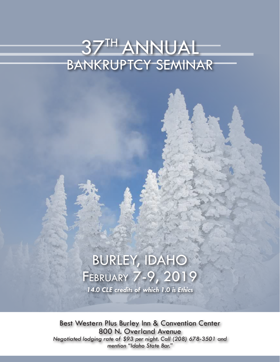# 37TH ANNUAL BANKRUPTCY SEMINAR

# BURLEY, IDAHO February 7-9, 2019

*14.0 CLE credits of which 1.0 is Ethics*

Best Western Plus Burley Inn & Convention Center 800 N. Overland Avenue *Negotiated lodging rate of \$93 per night. Call (208) 678-3501 and mention "Idaho State Bar."*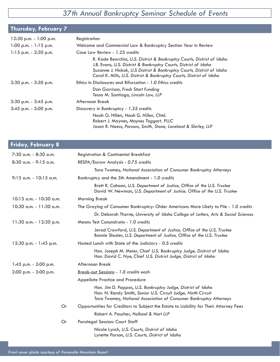#### *37th Annual Bankruptcy Seminar Schedule of Events*

| Thursday, February 7      |                                                                                                                                                                                                                                                                                              |
|---------------------------|----------------------------------------------------------------------------------------------------------------------------------------------------------------------------------------------------------------------------------------------------------------------------------------------|
| 12:30 p.m. - 1:00 p.m.    | Registration                                                                                                                                                                                                                                                                                 |
| $1:00$ p.m. - $1:15$ p.m. | Welcome and Commercial Law & Bankruptcy Section Year in Review                                                                                                                                                                                                                               |
| $1:15$ p.m. - 2:30 p.m.   | Case Law Review - 1.25 credits                                                                                                                                                                                                                                                               |
|                           | R. Kade Beorchia, U.S. District & Bankruptcy Courts, District of Idaho<br>J.B. Evans, U.S. District & Bankruptcy Courts, District of Idaho<br>Suzanne J. Hickok, U.S District & Bankruptcy Courts, District of Idaho<br>Carol K. Mills, U.S. District & Bankruptcy Courts, District of Idaho |
| $2:30$ p.m. $-3:30$ p.m.  | Ethics in Disclosures and Bifurcation - 1.0 Ethics credits                                                                                                                                                                                                                                   |
|                           | Dan Garrison, Fresh Start Funding<br>Tessa M. Santiago, Lincoln Law, LLP                                                                                                                                                                                                                     |
| 3:30 p.m. - 3:45 p.m.     | Afternoon Break                                                                                                                                                                                                                                                                              |
| $3:45$ p.m. $-5:00$ p.m.  | Discovery in Bankruptcy - 1.25 credits                                                                                                                                                                                                                                                       |
|                           | Noah G. Hillen, Noah G. Hillen, Chtd.<br>Robert J. Maynes, Maynes Taggart, PLLC<br>Jason R. Naess, Parsons, Smith, Stone, Loveland & Shirley, LLP                                                                                                                                            |

#### **Friday, February 8** 7:30 a.m. - 8:30 a.m. Registration & Continental Breakfast 8:30 a.m. - 9:15 a.m. RESPA/Escrow Analysis - *0.75 credits* Tara Twomey, *National Association of Consumer Bankruptcy Attorneys* 9:15 a.m. - 10:15 a.m. Bankruptcy and the 5th Amendment - *1.0 credits* Brett R. Cahoon, *U.S. Department of Justice, Office of the U.S. Trustee* David W. Newman, *U.S. Department of Justice, Office of the U.S. Trustee* 10:15 a.m. - 10:30 a.m. Morning Break 10:30 a.m. - 11:30 a.m. The Graying of Consumer Bankruptcy: Older Americans More Likely to File - *1.0 credits* Dr. Deborah Thorne, *University of Idaho College of Letters, Arts & Social Sciences* 11:30 a.m. - 12:30 p.m. Means Test Conundrums - *1.0 credits* Jerad Crawford, *U.S. Department of Justice, Office of the U.S. Trustee* Bonnie Shuster, *U.S. Department of Justice, Office of the U.S. Trustee* 12:30 p.m. - 1:45 p.m. Hosted Lunch with State of the Judiciary - *0.5 credits* Hon. Joseph M. Meier, *Chief U.S. Bankruptcy Judge, District of Idaho* Hon. David C. Nye, *Chief U.S. District Judge, District of Idaho* 1:45 p.m. - 2:00 p.m. Afternoon Break 2:00 p.m. - 3:00 p.m. Break-out Sessions - *1.0 credits each* Appellate Practice and Procedure Hon. Jim D. Pappas, *U.S. Bankruptcy Judge, District of Idaho* Hon. N. Randy Smith, *Senior U.S. Circuit Judge, Ninth Circuit* Tara Twomey, *National Association of Consumer Bankruptcy Attorneys Or* Opportunities for Creditors to Subject the Estate to Liability for Their Attorney Fees Robert A. Faucher, *Holland & Hart LLP Or* Paralegal Session: Court Staff

 Nicole Lynch, *U.S. Courts, District of Idaho* Lynette Parson, *U.S. Courts, District of Idaho*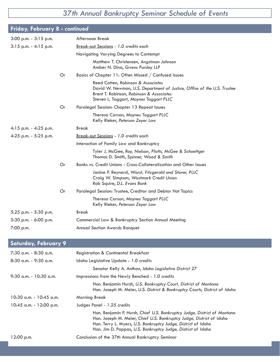### *37th Annual Bankruptcy Seminar Schedule of Events*

| <b>Friday, February 8 - continued</b> |    |                                                                                                                                                                                                     |
|---------------------------------------|----|-----------------------------------------------------------------------------------------------------------------------------------------------------------------------------------------------------|
| $3:00$ p.m. - $3:15$ p.m.             |    | Afternoon Break                                                                                                                                                                                     |
| $3:15$ p.m. - 4:15 p.m.               |    | Break-out Sessions - 1.0 credits each                                                                                                                                                               |
|                                       |    | Navigating Varying Degrees to Contempt                                                                                                                                                              |
|                                       |    | Matthew T. Christensen, Angstman Johnson<br>Amber N. Dina, Givens Pursley LLP                                                                                                                       |
|                                       | Or | Basics of Chapter 11: Often Missed / Confused Issues                                                                                                                                                |
|                                       |    | Reed Cotten, Robinson & Associates<br>David W. Newman, U.S. Department of Justice, Office of the U.S. Trustee<br>Brent T. Robinson, Robinson & Associates<br>Steven L. Taggart, Maynes Taggart PLLC |
|                                       | Or | Paralegal Session: Chapter 13 Repeat Issues                                                                                                                                                         |
|                                       |    | Theresa Carson, Maynes Taggart PLLC<br>Kelly Rieker, Peterson Zeyer Law                                                                                                                             |
| $4:15$ p.m. $-4:25$ p.m.              |    | Break                                                                                                                                                                                               |
| 4:25 p.m. - 5:25 p.m.                 |    | Break-out Sessions - 1.0 credits each                                                                                                                                                               |
|                                       |    | Interaction of Family Law and Bankruptcy                                                                                                                                                            |
|                                       |    | Tyler J. McGee, Roy, Nielson, Platts, McGee & Schoettger<br>Thomas D. Smith, Spinner, Wood & Smith                                                                                                  |
|                                       | Or | Banks vs. Credit Unions - Cross-Collateralization and Other Issues                                                                                                                                  |
|                                       |    | Janine P. Reynard, Worst, Fitzgerald and Stover, PLLC<br>Craig W. Simpson, Westmark Credit Union<br>Rob Squire, D.L. Evans Bank                                                                     |
|                                       | Or | Paralegal Session: Trustee, Creditor and Debtor Hot Topics                                                                                                                                          |
|                                       |    | Theresa Carson, Maynes Taggart PLLC<br>Kelly Rieker, Peterson Zeyer Law                                                                                                                             |
| 5:25 p.m. - 5:30 p.m.                 |    | <b>Break</b>                                                                                                                                                                                        |
| 5:30 p.m. - 6:00 p.m.                 |    | Commercial Law & Bankruptcy Section Annual Meeting                                                                                                                                                  |
| 7:00 p.m.                             |    | <b>Annual Section Awards Banquet</b>                                                                                                                                                                |

### **Saturday, February 9**

| 7:30 a.m. - 8:30 a.m.       | <b>Registration &amp; Continental Breakfast</b>                                                                                                                                                                                                                                   |
|-----------------------------|-----------------------------------------------------------------------------------------------------------------------------------------------------------------------------------------------------------------------------------------------------------------------------------|
| $8:30$ a.m. - 9:30 a.m.     | Idaho Legislative Update - 1.0 credits                                                                                                                                                                                                                                            |
|                             | Senator Kelly A. Anthon, Idaho Legislative District 27                                                                                                                                                                                                                            |
| $9:30$ a.m. - 10:30 a.m.    | Impressions from the Newly Benched - 1.0 credits                                                                                                                                                                                                                                  |
|                             | Hon. Benjamin Hursh, U.S. Bankruptcy Court, District of Montana<br>Hon. Joseph M. Meier, U.S. District & Bankruptcy Courts, District of Idaho                                                                                                                                     |
| $10:30$ a.m. - $10:45$ a.m. | <b>Morning Break</b>                                                                                                                                                                                                                                                              |
| $10:45$ a.m. - 12:00 p.m.   | Judges Panel - 1.25 credits                                                                                                                                                                                                                                                       |
|                             | Hon. Benjamin P. Hursh, Chief U.S. Bankruptcy Judge, District of Montana<br>Hon. Joseph M. Meier, Chief U.S. Bankruptcy Judge, District of Idaho<br>Hon. Terry L. Myers, U.S. Bankruptcy Judge, District of Idaho<br>Hon. Jim D. Pappas, U.S. Bankruptcy Judge, District of Idaho |
| 12:00 p.m.                  | Conclusion of the 37th Annual Bankruptcy Seminar                                                                                                                                                                                                                                  |